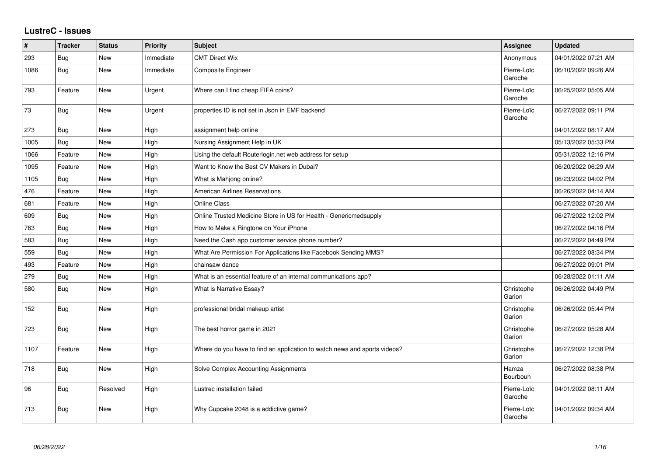## **LustreC - Issues**

| $\sharp$ | <b>Tracker</b> | <b>Status</b> | <b>Priority</b> | <b>Subject</b>                                                            | <b>Assignee</b>        | <b>Updated</b>      |
|----------|----------------|---------------|-----------------|---------------------------------------------------------------------------|------------------------|---------------------|
| 293      | Bug            | New           | Immediate       | <b>CMT Direct Wix</b>                                                     | Anonymous              | 04/01/2022 07:21 AM |
| 1086     | <b>Bug</b>     | New           | Immediate       | Composite Engineer                                                        | Pierre-Loïc<br>Garoche | 06/10/2022 09:26 AM |
| 793      | Feature        | <b>New</b>    | Urgent          | Where can I find cheap FIFA coins?                                        | Pierre-Loïc<br>Garoche | 06/25/2022 05:05 AM |
| 73       | <b>Bug</b>     | New           | Urgent          | properties ID is not set in Json in EMF backend                           | Pierre-Loïc<br>Garoche | 06/27/2022 09:11 PM |
| 273      | <b>Bug</b>     | New           | High            | assignment help online                                                    |                        | 04/01/2022 08:17 AM |
| 1005     | Bug            | New           | High            | Nursing Assignment Help in UK                                             |                        | 05/13/2022 05:33 PM |
| 1066     | Feature        | New           | High            | Using the default Routerlogin.net web address for setup                   |                        | 05/31/2022 12:16 PM |
| 1095     | Feature        | <b>New</b>    | High            | Want to Know the Best CV Makers in Dubai?                                 |                        | 06/20/2022 06:29 AM |
| 1105     | Bug            | New           | High            | What is Mahjong online?                                                   |                        | 06/23/2022 04:02 PM |
| 476      | Feature        | <b>New</b>    | High            | <b>American Airlines Reservations</b>                                     |                        | 06/26/2022 04:14 AM |
| 681      | Feature        | New           | High            | <b>Online Class</b>                                                       |                        | 06/27/2022 07:20 AM |
| 609      | Bug            | <b>New</b>    | High            | Online Trusted Medicine Store in US for Health - Genericmedsupply         |                        | 06/27/2022 12:02 PM |
| 763      | <b>Bug</b>     | New           | High            | How to Make a Ringtone on Your iPhone                                     |                        | 06/27/2022 04:16 PM |
| 583      | <b>Bug</b>     | <b>New</b>    | High            | Need the Cash app customer service phone number?                          |                        | 06/27/2022 04:49 PM |
| 559      | Bug            | <b>New</b>    | High            | What Are Permission For Applications like Facebook Sending MMS?           |                        | 06/27/2022 08:34 PM |
| 493      | Feature        | <b>New</b>    | High            | chainsaw dance                                                            |                        | 06/27/2022 09:01 PM |
| 279      | Bug            | <b>New</b>    | High            | What is an essential feature of an internal communications app?           |                        | 06/28/2022 01:11 AM |
| 580      | <b>Bug</b>     | New           | High            | What is Narrative Essay?                                                  | Christophe<br>Garion   | 06/26/2022 04:49 PM |
| 152      | <b>Bug</b>     | <b>New</b>    | High            | professional bridal makeup artist                                         | Christophe<br>Garion   | 06/26/2022 05:44 PM |
| 723      | <b>Bug</b>     | <b>New</b>    | High            | The best horror game in 2021                                              | Christophe<br>Garion   | 06/27/2022 05:28 AM |
| 1107     | Feature        | New           | High            | Where do you have to find an application to watch news and sports videos? | Christophe<br>Garion   | 06/27/2022 12:38 PM |
| 718      | <b>Bug</b>     | New           | High            | Solve Complex Accounting Assignments                                      | Hamza<br>Bourbouh      | 06/27/2022 08:38 PM |
| 96       | <b>Bug</b>     | Resolved      | High            | Lustrec installation failed                                               | Pierre-Loïc<br>Garoche | 04/01/2022 08:11 AM |
| 713      | Bug            | New           | High            | Why Cupcake 2048 is a addictive game?                                     | Pierre-Loïc<br>Garoche | 04/01/2022 09:34 AM |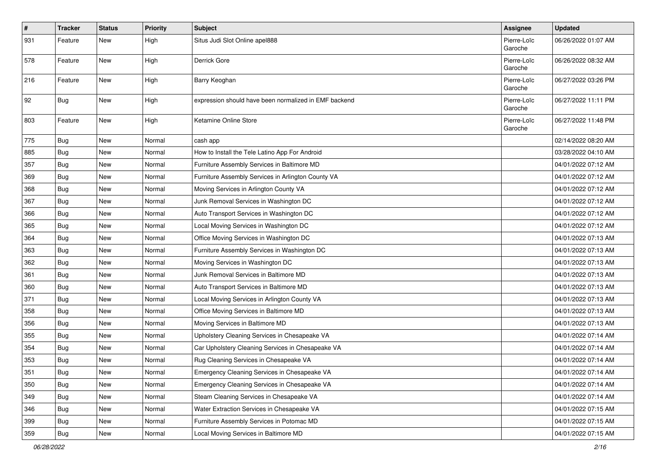| $\pmb{\#}$ | <b>Tracker</b> | <b>Status</b> | <b>Priority</b> | <b>Subject</b>                                        | <b>Assignee</b>        | <b>Updated</b>      |
|------------|----------------|---------------|-----------------|-------------------------------------------------------|------------------------|---------------------|
| 931        | Feature        | New           | High            | Situs Judi Slot Online apel888                        | Pierre-Loïc<br>Garoche | 06/26/2022 01:07 AM |
| 578        | Feature        | New           | High            | Derrick Gore                                          | Pierre-Loïc<br>Garoche | 06/26/2022 08:32 AM |
| 216        | Feature        | <b>New</b>    | High            | Barry Keoghan                                         | Pierre-Loïc<br>Garoche | 06/27/2022 03:26 PM |
| 92         | Bug            | New           | High            | expression should have been normalized in EMF backend | Pierre-Loïc<br>Garoche | 06/27/2022 11:11 PM |
| 803        | Feature        | <b>New</b>    | High            | Ketamine Online Store                                 | Pierre-Loïc<br>Garoche | 06/27/2022 11:48 PM |
| 775        | Bug            | New           | Normal          | cash app                                              |                        | 02/14/2022 08:20 AM |
| 885        | <b>Bug</b>     | New           | Normal          | How to Install the Tele Latino App For Android        |                        | 03/28/2022 04:10 AM |
| 357        | <b>Bug</b>     | New           | Normal          | Furniture Assembly Services in Baltimore MD           |                        | 04/01/2022 07:12 AM |
| 369        | <b>Bug</b>     | New           | Normal          | Furniture Assembly Services in Arlington County VA    |                        | 04/01/2022 07:12 AM |
| 368        | <b>Bug</b>     | New           | Normal          | Moving Services in Arlington County VA                |                        | 04/01/2022 07:12 AM |
| 367        | <b>Bug</b>     | New           | Normal          | Junk Removal Services in Washington DC                |                        | 04/01/2022 07:12 AM |
| 366        | <b>Bug</b>     | New           | Normal          | Auto Transport Services in Washington DC              |                        | 04/01/2022 07:12 AM |
| 365        | <b>Bug</b>     | New           | Normal          | Local Moving Services in Washington DC                |                        | 04/01/2022 07:12 AM |
| 364        | Bug            | New           | Normal          | Office Moving Services in Washington DC               |                        | 04/01/2022 07:13 AM |
| 363        | <b>Bug</b>     | New           | Normal          | Furniture Assembly Services in Washington DC          |                        | 04/01/2022 07:13 AM |
| 362        | <b>Bug</b>     | New           | Normal          | Moving Services in Washington DC                      |                        | 04/01/2022 07:13 AM |
| 361        | Bug            | New           | Normal          | Junk Removal Services in Baltimore MD                 |                        | 04/01/2022 07:13 AM |
| 360        | <b>Bug</b>     | New           | Normal          | Auto Transport Services in Baltimore MD               |                        | 04/01/2022 07:13 AM |
| 371        | <b>Bug</b>     | New           | Normal          | Local Moving Services in Arlington County VA          |                        | 04/01/2022 07:13 AM |
| 358        | <b>Bug</b>     | New           | Normal          | Office Moving Services in Baltimore MD                |                        | 04/01/2022 07:13 AM |
| 356        | Bug            | <b>New</b>    | Normal          | Moving Services in Baltimore MD                       |                        | 04/01/2022 07:13 AM |
| 355        | <b>Bug</b>     | New           | Normal          | Upholstery Cleaning Services in Chesapeake VA         |                        | 04/01/2022 07:14 AM |
| 354        | <b>Bug</b>     | New           | Normal          | Car Upholstery Cleaning Services in Chesapeake VA     |                        | 04/01/2022 07:14 AM |
| 353        | Bug            | New           | Normal          | Rug Cleaning Services in Chesapeake VA                |                        | 04/01/2022 07:14 AM |
| 351        | <b>Bug</b>     | New           | Normal          | Emergency Cleaning Services in Chesapeake VA          |                        | 04/01/2022 07:14 AM |
| 350        | <b>Bug</b>     | <b>New</b>    | Normal          | Emergency Cleaning Services in Chesapeake VA          |                        | 04/01/2022 07:14 AM |
| 349        | Bug            | New           | Normal          | Steam Cleaning Services in Chesapeake VA              |                        | 04/01/2022 07:14 AM |
| 346        | Bug            | New           | Normal          | Water Extraction Services in Chesapeake VA            |                        | 04/01/2022 07:15 AM |
| 399        | Bug            | New           | Normal          | Furniture Assembly Services in Potomac MD             |                        | 04/01/2022 07:15 AM |
| 359        | <b>Bug</b>     | New           | Normal          | Local Moving Services in Baltimore MD                 |                        | 04/01/2022 07:15 AM |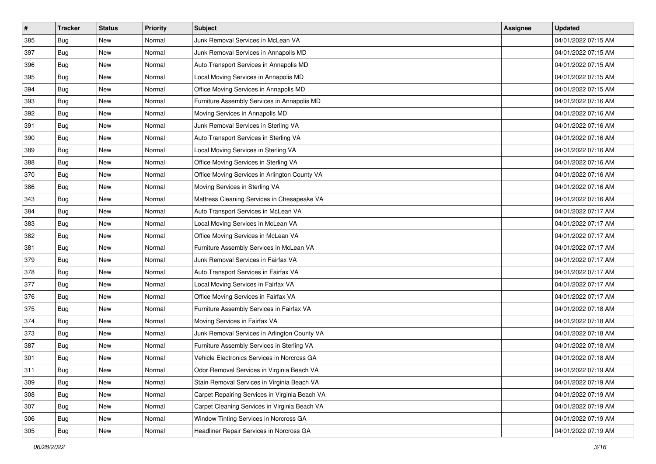| $\pmb{\#}$ | <b>Tracker</b> | <b>Status</b> | <b>Priority</b> | Subject                                        | <b>Assignee</b> | <b>Updated</b>      |
|------------|----------------|---------------|-----------------|------------------------------------------------|-----------------|---------------------|
| 385        | Bug            | New           | Normal          | Junk Removal Services in McLean VA             |                 | 04/01/2022 07:15 AM |
| 397        | <b>Bug</b>     | New           | Normal          | Junk Removal Services in Annapolis MD          |                 | 04/01/2022 07:15 AM |
| 396        | <b>Bug</b>     | New           | Normal          | Auto Transport Services in Annapolis MD        |                 | 04/01/2022 07:15 AM |
| 395        | Bug            | New           | Normal          | Local Moving Services in Annapolis MD          |                 | 04/01/2022 07:15 AM |
| 394        | Bug            | <b>New</b>    | Normal          | Office Moving Services in Annapolis MD         |                 | 04/01/2022 07:15 AM |
| 393        | Bug            | New           | Normal          | Furniture Assembly Services in Annapolis MD    |                 | 04/01/2022 07:16 AM |
| 392        | Bug            | New           | Normal          | Moving Services in Annapolis MD                |                 | 04/01/2022 07:16 AM |
| 391        | Bug            | New           | Normal          | Junk Removal Services in Sterling VA           |                 | 04/01/2022 07:16 AM |
| 390        | Bug            | New           | Normal          | Auto Transport Services in Sterling VA         |                 | 04/01/2022 07:16 AM |
| 389        | Bug            | New           | Normal          | Local Moving Services in Sterling VA           |                 | 04/01/2022 07:16 AM |
| 388        | <b>Bug</b>     | New           | Normal          | Office Moving Services in Sterling VA          |                 | 04/01/2022 07:16 AM |
| 370        | Bug            | New           | Normal          | Office Moving Services in Arlington County VA  |                 | 04/01/2022 07:16 AM |
| 386        | Bug            | New           | Normal          | Moving Services in Sterling VA                 |                 | 04/01/2022 07:16 AM |
| 343        | <b>Bug</b>     | New           | Normal          | Mattress Cleaning Services in Chesapeake VA    |                 | 04/01/2022 07:16 AM |
| 384        | <b>Bug</b>     | New           | Normal          | Auto Transport Services in McLean VA           |                 | 04/01/2022 07:17 AM |
| 383        | Bug            | New           | Normal          | Local Moving Services in McLean VA             |                 | 04/01/2022 07:17 AM |
| 382        | Bug            | New           | Normal          | Office Moving Services in McLean VA            |                 | 04/01/2022 07:17 AM |
| 381        | Bug            | New           | Normal          | Furniture Assembly Services in McLean VA       |                 | 04/01/2022 07:17 AM |
| 379        | Bug            | New           | Normal          | Junk Removal Services in Fairfax VA            |                 | 04/01/2022 07:17 AM |
| 378        | <b>Bug</b>     | New           | Normal          | Auto Transport Services in Fairfax VA          |                 | 04/01/2022 07:17 AM |
| 377        | Bug            | New           | Normal          | Local Moving Services in Fairfax VA            |                 | 04/01/2022 07:17 AM |
| 376        | Bug            | New           | Normal          | Office Moving Services in Fairfax VA           |                 | 04/01/2022 07:17 AM |
| 375        | Bug            | New           | Normal          | Furniture Assembly Services in Fairfax VA      |                 | 04/01/2022 07:18 AM |
| 374        | <b>Bug</b>     | New           | Normal          | Moving Services in Fairfax VA                  |                 | 04/01/2022 07:18 AM |
| 373        | Bug            | New           | Normal          | Junk Removal Services in Arlington County VA   |                 | 04/01/2022 07:18 AM |
| 387        | Bug            | New           | Normal          | Furniture Assembly Services in Sterling VA     |                 | 04/01/2022 07:18 AM |
| 301        | <b>Bug</b>     | New           | Normal          | Vehicle Electronics Services in Norcross GA    |                 | 04/01/2022 07:18 AM |
| 311        | <b>Bug</b>     | New           | Normal          | Odor Removal Services in Virginia Beach VA     |                 | 04/01/2022 07:19 AM |
| 309        | <b>Bug</b>     | New           | Normal          | Stain Removal Services in Virginia Beach VA    |                 | 04/01/2022 07:19 AM |
| 308        | Bug            | New           | Normal          | Carpet Repairing Services in Virginia Beach VA |                 | 04/01/2022 07:19 AM |
| 307        | <b>Bug</b>     | New           | Normal          | Carpet Cleaning Services in Virginia Beach VA  |                 | 04/01/2022 07:19 AM |
| 306        | Bug            | New           | Normal          | Window Tinting Services in Norcross GA         |                 | 04/01/2022 07:19 AM |
| 305        | <b>Bug</b>     | New           | Normal          | Headliner Repair Services in Norcross GA       |                 | 04/01/2022 07:19 AM |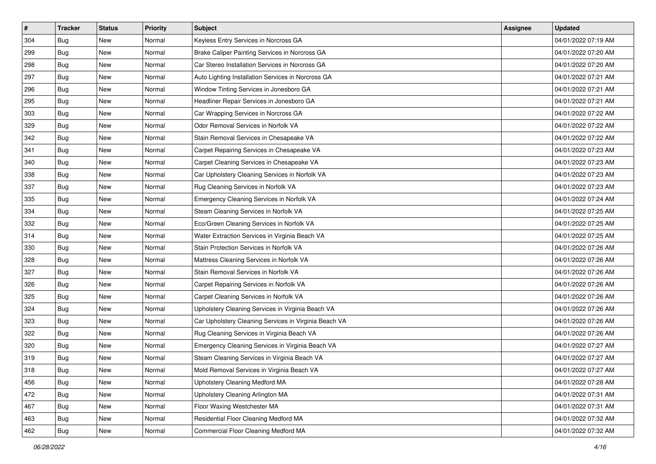| $\pmb{\#}$ | <b>Tracker</b> | <b>Status</b> | <b>Priority</b> | Subject                                               | <b>Assignee</b> | <b>Updated</b>      |
|------------|----------------|---------------|-----------------|-------------------------------------------------------|-----------------|---------------------|
| 304        | Bug            | New           | Normal          | Keyless Entry Services in Norcross GA                 |                 | 04/01/2022 07:19 AM |
| 299        | Bug            | New           | Normal          | Brake Caliper Painting Services in Norcross GA        |                 | 04/01/2022 07:20 AM |
| 298        | <b>Bug</b>     | New           | Normal          | Car Stereo Installation Services in Norcross GA       |                 | 04/01/2022 07:20 AM |
| 297        | Bug            | New           | Normal          | Auto Lighting Installation Services in Norcross GA    |                 | 04/01/2022 07:21 AM |
| 296        | Bug            | <b>New</b>    | Normal          | Window Tinting Services in Jonesboro GA               |                 | 04/01/2022 07:21 AM |
| 295        | Bug            | New           | Normal          | Headliner Repair Services in Jonesboro GA             |                 | 04/01/2022 07:21 AM |
| 303        | Bug            | New           | Normal          | Car Wrapping Services in Norcross GA                  |                 | 04/01/2022 07:22 AM |
| 329        | Bug            | New           | Normal          | Odor Removal Services in Norfolk VA                   |                 | 04/01/2022 07:22 AM |
| 342        | Bug            | New           | Normal          | Stain Removal Services in Chesapeake VA               |                 | 04/01/2022 07:22 AM |
| 341        | Bug            | New           | Normal          | Carpet Repairing Services in Chesapeake VA            |                 | 04/01/2022 07:23 AM |
| 340        | Bug            | New           | Normal          | Carpet Cleaning Services in Chesapeake VA             |                 | 04/01/2022 07:23 AM |
| 338        | Bug            | New           | Normal          | Car Upholstery Cleaning Services in Norfolk VA        |                 | 04/01/2022 07:23 AM |
| 337        | Bug            | New           | Normal          | Rug Cleaning Services in Norfolk VA                   |                 | 04/01/2022 07:23 AM |
| 335        | Bug            | New           | Normal          | Emergency Cleaning Services in Norfolk VA             |                 | 04/01/2022 07:24 AM |
| 334        | <b>Bug</b>     | New           | Normal          | Steam Cleaning Services in Norfolk VA                 |                 | 04/01/2022 07:25 AM |
| 332        | Bug            | New           | Normal          | Eco/Green Cleaning Services in Norfolk VA             |                 | 04/01/2022 07:25 AM |
| 314        | Bug            | New           | Normal          | Water Extraction Services in Virginia Beach VA        |                 | 04/01/2022 07:25 AM |
| 330        | Bug            | New           | Normal          | Stain Protection Services in Norfolk VA               |                 | 04/01/2022 07:26 AM |
| 328        | Bug            | New           | Normal          | Mattress Cleaning Services in Norfolk VA              |                 | 04/01/2022 07:26 AM |
| 327        | Bug            | New           | Normal          | Stain Removal Services in Norfolk VA                  |                 | 04/01/2022 07:26 AM |
| 326        | Bug            | New           | Normal          | Carpet Repairing Services in Norfolk VA               |                 | 04/01/2022 07:26 AM |
| 325        | Bug            | New           | Normal          | Carpet Cleaning Services in Norfolk VA                |                 | 04/01/2022 07:26 AM |
| 324        | Bug            | New           | Normal          | Upholstery Cleaning Services in Virginia Beach VA     |                 | 04/01/2022 07:26 AM |
| 323        | <b>Bug</b>     | New           | Normal          | Car Upholstery Cleaning Services in Virginia Beach VA |                 | 04/01/2022 07:26 AM |
| 322        | Bug            | New           | Normal          | Rug Cleaning Services in Virginia Beach VA            |                 | 04/01/2022 07:26 AM |
| 320        | Bug            | New           | Normal          | Emergency Cleaning Services in Virginia Beach VA      |                 | 04/01/2022 07:27 AM |
| 319        | <b>Bug</b>     | New           | Normal          | Steam Cleaning Services in Virginia Beach VA          |                 | 04/01/2022 07:27 AM |
| 318        | <b>Bug</b>     | New           | Normal          | Mold Removal Services in Virginia Beach VA            |                 | 04/01/2022 07:27 AM |
| 456        | <b>Bug</b>     | New           | Normal          | Upholstery Cleaning Medford MA                        |                 | 04/01/2022 07:28 AM |
| 472        | Bug            | New           | Normal          | Upholstery Cleaning Arlington MA                      |                 | 04/01/2022 07:31 AM |
| 467        | <b>Bug</b>     | New           | Normal          | Floor Waxing Westchester MA                           |                 | 04/01/2022 07:31 AM |
| 463        | Bug            | New           | Normal          | Residential Floor Cleaning Medford MA                 |                 | 04/01/2022 07:32 AM |
| 462        | <b>Bug</b>     | New           | Normal          | Commercial Floor Cleaning Medford MA                  |                 | 04/01/2022 07:32 AM |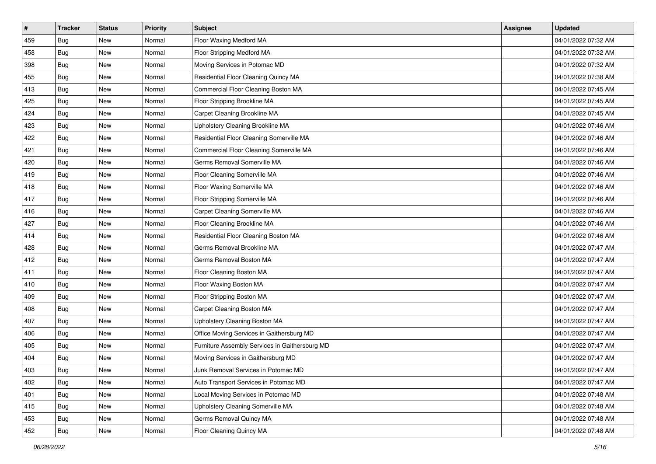| $\sharp$ | <b>Tracker</b> | <b>Status</b> | Priority | <b>Subject</b>                                 | <b>Assignee</b> | <b>Updated</b>      |
|----------|----------------|---------------|----------|------------------------------------------------|-----------------|---------------------|
| 459      | <b>Bug</b>     | New           | Normal   | Floor Waxing Medford MA                        |                 | 04/01/2022 07:32 AM |
| 458      | Bug            | New           | Normal   | Floor Stripping Medford MA                     |                 | 04/01/2022 07:32 AM |
| 398      | Bug            | New           | Normal   | Moving Services in Potomac MD                  |                 | 04/01/2022 07:32 AM |
| 455      | <b>Bug</b>     | <b>New</b>    | Normal   | Residential Floor Cleaning Quincy MA           |                 | 04/01/2022 07:38 AM |
| 413      | <b>Bug</b>     | <b>New</b>    | Normal   | Commercial Floor Cleaning Boston MA            |                 | 04/01/2022 07:45 AM |
| 425      | <b>Bug</b>     | New           | Normal   | Floor Stripping Brookline MA                   |                 | 04/01/2022 07:45 AM |
| 424      | <b>Bug</b>     | New           | Normal   | Carpet Cleaning Brookline MA                   |                 | 04/01/2022 07:45 AM |
| 423      | Bug            | New           | Normal   | Upholstery Cleaning Brookline MA               |                 | 04/01/2022 07:46 AM |
| 422      | Bug            | New           | Normal   | Residential Floor Cleaning Somerville MA       |                 | 04/01/2022 07:46 AM |
| 421      | <b>Bug</b>     | <b>New</b>    | Normal   | Commercial Floor Cleaning Somerville MA        |                 | 04/01/2022 07:46 AM |
| 420      | <b>Bug</b>     | New           | Normal   | Germs Removal Somerville MA                    |                 | 04/01/2022 07:46 AM |
| 419      | <b>Bug</b>     | New           | Normal   | Floor Cleaning Somerville MA                   |                 | 04/01/2022 07:46 AM |
| 418      | <b>Bug</b>     | New           | Normal   | Floor Waxing Somerville MA                     |                 | 04/01/2022 07:46 AM |
| 417      | Bug            | New           | Normal   | Floor Stripping Somerville MA                  |                 | 04/01/2022 07:46 AM |
| 416      | <b>Bug</b>     | New           | Normal   | Carpet Cleaning Somerville MA                  |                 | 04/01/2022 07:46 AM |
| 427      | Bug            | New           | Normal   | Floor Cleaning Brookline MA                    |                 | 04/01/2022 07:46 AM |
| 414      | <b>Bug</b>     | New           | Normal   | Residential Floor Cleaning Boston MA           |                 | 04/01/2022 07:46 AM |
| 428      | <b>Bug</b>     | New           | Normal   | Germs Removal Brookline MA                     |                 | 04/01/2022 07:47 AM |
| 412      | Bug            | New           | Normal   | Germs Removal Boston MA                        |                 | 04/01/2022 07:47 AM |
| 411      | <b>Bug</b>     | New           | Normal   | Floor Cleaning Boston MA                       |                 | 04/01/2022 07:47 AM |
| 410      | Bug            | New           | Normal   | Floor Waxing Boston MA                         |                 | 04/01/2022 07:47 AM |
| 409      | Bug            | <b>New</b>    | Normal   | Floor Stripping Boston MA                      |                 | 04/01/2022 07:47 AM |
| 408      | <b>Bug</b>     | <b>New</b>    | Normal   | Carpet Cleaning Boston MA                      |                 | 04/01/2022 07:47 AM |
| 407      | <b>Bug</b>     | New           | Normal   | Upholstery Cleaning Boston MA                  |                 | 04/01/2022 07:47 AM |
| 406      | <b>Bug</b>     | New           | Normal   | Office Moving Services in Gaithersburg MD      |                 | 04/01/2022 07:47 AM |
| 405      | <b>Bug</b>     | New           | Normal   | Furniture Assembly Services in Gaithersburg MD |                 | 04/01/2022 07:47 AM |
| 404      | Bug            | New           | Normal   | Moving Services in Gaithersburg MD             |                 | 04/01/2022 07:47 AM |
| 403      | <b>Bug</b>     | New           | Normal   | Junk Removal Services in Potomac MD            |                 | 04/01/2022 07:47 AM |
| 402      | Bug            | New           | Normal   | Auto Transport Services in Potomac MD          |                 | 04/01/2022 07:47 AM |
| 401      | Bug            | New           | Normal   | Local Moving Services in Potomac MD            |                 | 04/01/2022 07:48 AM |
| 415      | Bug            | New           | Normal   | Upholstery Cleaning Somerville MA              |                 | 04/01/2022 07:48 AM |
| 453      | Bug            | New           | Normal   | Germs Removal Quincy MA                        |                 | 04/01/2022 07:48 AM |
| 452      | <b>Bug</b>     | New           | Normal   | Floor Cleaning Quincy MA                       |                 | 04/01/2022 07:48 AM |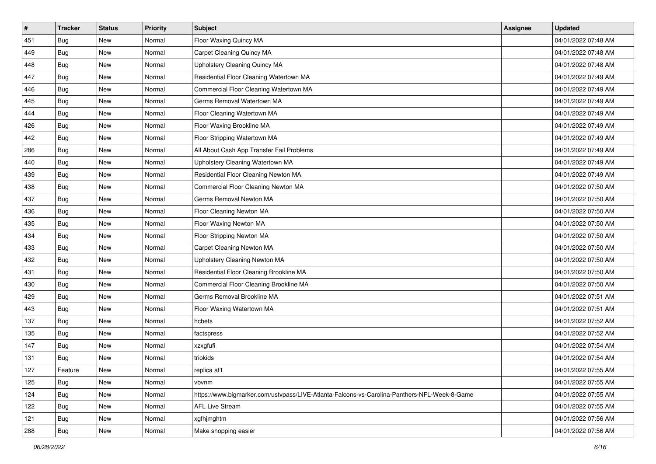| #   | <b>Tracker</b> | <b>Status</b> | Priority | <b>Subject</b>                                                                               | <b>Assignee</b> | <b>Updated</b>      |
|-----|----------------|---------------|----------|----------------------------------------------------------------------------------------------|-----------------|---------------------|
| 451 | <b>Bug</b>     | New           | Normal   | Floor Waxing Quincy MA                                                                       |                 | 04/01/2022 07:48 AM |
| 449 | <b>Bug</b>     | <b>New</b>    | Normal   | Carpet Cleaning Quincy MA                                                                    |                 | 04/01/2022 07:48 AM |
| 448 | Bug            | New           | Normal   | <b>Upholstery Cleaning Quincy MA</b>                                                         |                 | 04/01/2022 07:48 AM |
| 447 | <b>Bug</b>     | New           | Normal   | Residential Floor Cleaning Watertown MA                                                      |                 | 04/01/2022 07:49 AM |
| 446 | Bug            | <b>New</b>    | Normal   | Commercial Floor Cleaning Watertown MA                                                       |                 | 04/01/2022 07:49 AM |
| 445 | <b>Bug</b>     | New           | Normal   | Germs Removal Watertown MA                                                                   |                 | 04/01/2022 07:49 AM |
| 444 | <b>Bug</b>     | New           | Normal   | Floor Cleaning Watertown MA                                                                  |                 | 04/01/2022 07:49 AM |
| 426 | Bug            | New           | Normal   | Floor Waxing Brookline MA                                                                    |                 | 04/01/2022 07:49 AM |
| 442 | <b>Bug</b>     | New           | Normal   | Floor Stripping Watertown MA                                                                 |                 | 04/01/2022 07:49 AM |
| 286 | <b>Bug</b>     | <b>New</b>    | Normal   | All About Cash App Transfer Fail Problems                                                    |                 | 04/01/2022 07:49 AM |
| 440 | <b>Bug</b>     | New           | Normal   | Upholstery Cleaning Watertown MA                                                             |                 | 04/01/2022 07:49 AM |
| 439 | <b>Bug</b>     | New           | Normal   | Residential Floor Cleaning Newton MA                                                         |                 | 04/01/2022 07:49 AM |
| 438 | Bug            | New           | Normal   | Commercial Floor Cleaning Newton MA                                                          |                 | 04/01/2022 07:50 AM |
| 437 | Bug            | <b>New</b>    | Normal   | Germs Removal Newton MA                                                                      |                 | 04/01/2022 07:50 AM |
| 436 | <b>Bug</b>     | New           | Normal   | Floor Cleaning Newton MA                                                                     |                 | 04/01/2022 07:50 AM |
| 435 | Bug            | New           | Normal   | Floor Waxing Newton MA                                                                       |                 | 04/01/2022 07:50 AM |
| 434 | <b>Bug</b>     | New           | Normal   | Floor Stripping Newton MA                                                                    |                 | 04/01/2022 07:50 AM |
| 433 | <b>Bug</b>     | New           | Normal   | Carpet Cleaning Newton MA                                                                    |                 | 04/01/2022 07:50 AM |
| 432 | <b>Bug</b>     | New           | Normal   | Upholstery Cleaning Newton MA                                                                |                 | 04/01/2022 07:50 AM |
| 431 | <b>Bug</b>     | New           | Normal   | Residential Floor Cleaning Brookline MA                                                      |                 | 04/01/2022 07:50 AM |
| 430 | Bug            | New           | Normal   | Commercial Floor Cleaning Brookline MA                                                       |                 | 04/01/2022 07:50 AM |
| 429 | <b>Bug</b>     | New           | Normal   | Germs Removal Brookline MA                                                                   |                 | 04/01/2022 07:51 AM |
| 443 | <b>Bug</b>     | New           | Normal   | Floor Waxing Watertown MA                                                                    |                 | 04/01/2022 07:51 AM |
| 137 | <b>Bug</b>     | New           | Normal   | hcbets                                                                                       |                 | 04/01/2022 07:52 AM |
| 135 | <b>Bug</b>     | New           | Normal   | factspress                                                                                   |                 | 04/01/2022 07:52 AM |
| 147 | Bug            | New           | Normal   | xzxgfufi                                                                                     |                 | 04/01/2022 07:54 AM |
| 131 | <b>Bug</b>     | New           | Normal   | triokids                                                                                     |                 | 04/01/2022 07:54 AM |
| 127 | Feature        | New           | Normal   | replica af1                                                                                  |                 | 04/01/2022 07:55 AM |
| 125 | Bug            | New           | Normal   | vbvnm                                                                                        |                 | 04/01/2022 07:55 AM |
| 124 | Bug            | New           | Normal   | https://www.bigmarker.com/ustvpass/LIVE-Atlanta-Falcons-vs-Carolina-Panthers-NFL-Week-8-Game |                 | 04/01/2022 07:55 AM |
| 122 | Bug            | New           | Normal   | <b>AFL Live Stream</b>                                                                       |                 | 04/01/2022 07:55 AM |
| 121 | Bug            | New           | Normal   | xgfhjmghtm                                                                                   |                 | 04/01/2022 07:56 AM |
| 288 | <b>Bug</b>     | New           | Normal   | Make shopping easier                                                                         |                 | 04/01/2022 07:56 AM |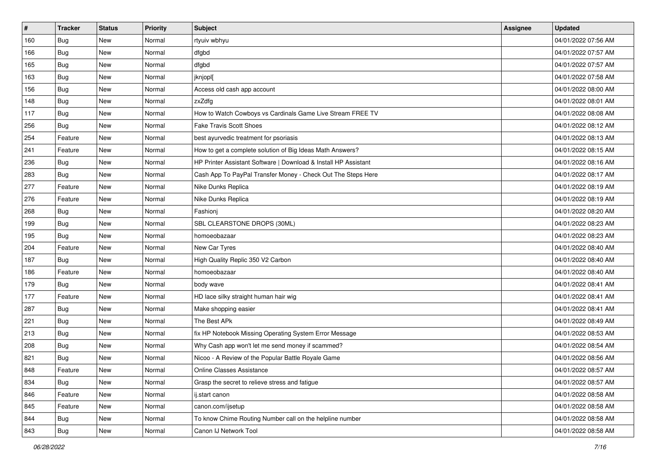| #   | <b>Tracker</b> | <b>Status</b> | <b>Priority</b> | Subject                                                         | <b>Assignee</b> | <b>Updated</b>      |
|-----|----------------|---------------|-----------------|-----------------------------------------------------------------|-----------------|---------------------|
| 160 | <b>Bug</b>     | New           | Normal          | rtyuiv wbhyu                                                    |                 | 04/01/2022 07:56 AM |
| 166 | <b>Bug</b>     | New           | Normal          | dfgbd                                                           |                 | 04/01/2022 07:57 AM |
| 165 | Bug            | New           | Normal          | dfgbd                                                           |                 | 04/01/2022 07:57 AM |
| 163 | <b>Bug</b>     | New           | Normal          | jknjopl[                                                        |                 | 04/01/2022 07:58 AM |
| 156 | Bug            | <b>New</b>    | Normal          | Access old cash app account                                     |                 | 04/01/2022 08:00 AM |
| 148 | <b>Bug</b>     | New           | Normal          | zxZdfg                                                          |                 | 04/01/2022 08:01 AM |
| 117 | <b>Bug</b>     | New           | Normal          | How to Watch Cowboys vs Cardinals Game Live Stream FREE TV      |                 | 04/01/2022 08:08 AM |
| 256 | Bug            | New           | Normal          | <b>Fake Travis Scott Shoes</b>                                  |                 | 04/01/2022 08:12 AM |
| 254 | Feature        | New           | Normal          | best ayurvedic treatment for psoriasis                          |                 | 04/01/2022 08:13 AM |
| 241 | Feature        | <b>New</b>    | Normal          | How to get a complete solution of Big Ideas Math Answers?       |                 | 04/01/2022 08:15 AM |
| 236 | <b>Bug</b>     | New           | Normal          | HP Printer Assistant Software   Download & Install HP Assistant |                 | 04/01/2022 08:16 AM |
| 283 | Bug            | New           | Normal          | Cash App To PayPal Transfer Money - Check Out The Steps Here    |                 | 04/01/2022 08:17 AM |
| 277 | Feature        | New           | Normal          | Nike Dunks Replica                                              |                 | 04/01/2022 08:19 AM |
| 276 | Feature        | New           | Normal          | Nike Dunks Replica                                              |                 | 04/01/2022 08:19 AM |
| 268 | <b>Bug</b>     | New           | Normal          | Fashioni                                                        |                 | 04/01/2022 08:20 AM |
| 199 | Bug            | New           | Normal          | SBL CLEARSTONE DROPS (30ML)                                     |                 | 04/01/2022 08:23 AM |
| 195 | Bug            | New           | Normal          | homoeobazaar                                                    |                 | 04/01/2022 08:23 AM |
| 204 | Feature        | <b>New</b>    | Normal          | New Car Tyres                                                   |                 | 04/01/2022 08:40 AM |
| 187 | Bug            | New           | Normal          | High Quality Replic 350 V2 Carbon                               |                 | 04/01/2022 08:40 AM |
| 186 | Feature        | New           | Normal          | homoeobazaar                                                    |                 | 04/01/2022 08:40 AM |
| 179 | Bug            | New           | Normal          | body wave                                                       |                 | 04/01/2022 08:41 AM |
| 177 | Feature        | New           | Normal          | HD lace silky straight human hair wig                           |                 | 04/01/2022 08:41 AM |
| 287 | <b>Bug</b>     | <b>New</b>    | Normal          | Make shopping easier                                            |                 | 04/01/2022 08:41 AM |
| 221 | <b>Bug</b>     | New           | Normal          | The Best APk                                                    |                 | 04/01/2022 08:49 AM |
| 213 | <b>Bug</b>     | New           | Normal          | fix HP Notebook Missing Operating System Error Message          |                 | 04/01/2022 08:53 AM |
| 208 | Bug            | New           | Normal          | Why Cash app won't let me send money if scammed?                |                 | 04/01/2022 08:54 AM |
| 821 | Bug            | <b>New</b>    | Normal          | Nicoo - A Review of the Popular Battle Royale Game              |                 | 04/01/2022 08:56 AM |
| 848 | Feature        | New           | Normal          | Online Classes Assistance                                       |                 | 04/01/2022 08:57 AM |
| 834 | Bug            | New           | Normal          | Grasp the secret to relieve stress and fatique                  |                 | 04/01/2022 08:57 AM |
| 846 | Feature        | New           | Normal          | ij.start canon                                                  |                 | 04/01/2022 08:58 AM |
| 845 | Feature        | New           | Normal          | canon.com/ijsetup                                               |                 | 04/01/2022 08:58 AM |
| 844 | Bug            | New           | Normal          | To know Chime Routing Number call on the helpline number        |                 | 04/01/2022 08:58 AM |
| 843 | <b>Bug</b>     | New           | Normal          | Canon IJ Network Tool                                           |                 | 04/01/2022 08:58 AM |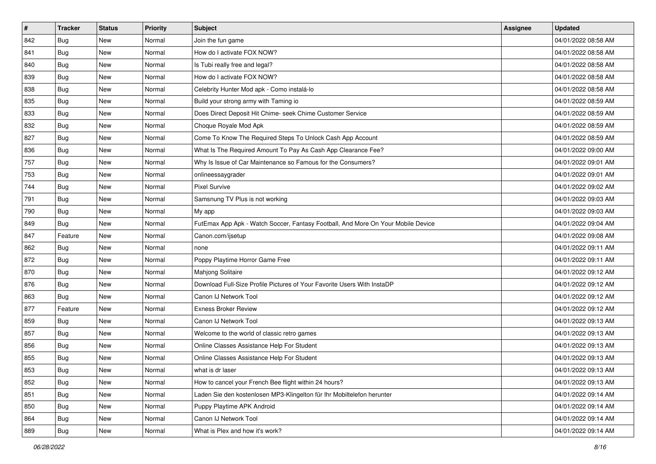| #   | <b>Tracker</b> | <b>Status</b> | <b>Priority</b> | <b>Subject</b>                                                                   | <b>Assignee</b> | <b>Updated</b>      |
|-----|----------------|---------------|-----------------|----------------------------------------------------------------------------------|-----------------|---------------------|
| 842 | Bug            | New           | Normal          | Join the fun game                                                                |                 | 04/01/2022 08:58 AM |
| 841 | <b>Bug</b>     | New           | Normal          | How do I activate FOX NOW?                                                       |                 | 04/01/2022 08:58 AM |
| 840 | Bug            | New           | Normal          | Is Tubi really free and legal?                                                   |                 | 04/01/2022 08:58 AM |
| 839 | Bug            | New           | Normal          | How do I activate FOX NOW?                                                       |                 | 04/01/2022 08:58 AM |
| 838 | <b>Bug</b>     | New           | Normal          | Celebrity Hunter Mod apk - Como instalá-lo                                       |                 | 04/01/2022 08:58 AM |
| 835 | Bug            | New           | Normal          | Build your strong army with Taming io                                            |                 | 04/01/2022 08:59 AM |
| 833 | Bug            | New           | Normal          | Does Direct Deposit Hit Chime- seek Chime Customer Service                       |                 | 04/01/2022 08:59 AM |
| 832 | Bug            | New           | Normal          | Choque Royale Mod Apk                                                            |                 | 04/01/2022 08:59 AM |
| 827 | Bug            | New           | Normal          | Come To Know The Required Steps To Unlock Cash App Account                       |                 | 04/01/2022 08:59 AM |
| 836 | Bug            | New           | Normal          | What Is The Required Amount To Pay As Cash App Clearance Fee?                    |                 | 04/01/2022 09:00 AM |
| 757 | Bug            | New           | Normal          | Why Is Issue of Car Maintenance so Famous for the Consumers?                     |                 | 04/01/2022 09:01 AM |
| 753 | Bug            | New           | Normal          | onlineessaygrader                                                                |                 | 04/01/2022 09:01 AM |
| 744 | Bug            | New           | Normal          | <b>Pixel Survive</b>                                                             |                 | 04/01/2022 09:02 AM |
| 791 | <b>Bug</b>     | New           | Normal          | Samsnung TV Plus is not working                                                  |                 | 04/01/2022 09:03 AM |
| 790 | Bug            | New           | Normal          | My app                                                                           |                 | 04/01/2022 09:03 AM |
| 849 | Bug            | New           | Normal          | FutEmax App Apk - Watch Soccer, Fantasy Football, And More On Your Mobile Device |                 | 04/01/2022 09:04 AM |
| 847 | Feature        | New           | Normal          | Canon.com/ijsetup                                                                |                 | 04/01/2022 09:08 AM |
| 862 | Bug            | New           | Normal          | none                                                                             |                 | 04/01/2022 09:11 AM |
| 872 | Bug            | New           | Normal          | Poppy Playtime Horror Game Free                                                  |                 | 04/01/2022 09:11 AM |
| 870 | Bug            | New           | Normal          | Mahjong Solitaire                                                                |                 | 04/01/2022 09:12 AM |
| 876 | Bug            | New           | Normal          | Download Full-Size Profile Pictures of Your Favorite Users With InstaDP          |                 | 04/01/2022 09:12 AM |
| 863 | Bug            | New           | Normal          | Canon IJ Network Tool                                                            |                 | 04/01/2022 09:12 AM |
| 877 | Feature        | New           | Normal          | <b>Exness Broker Review</b>                                                      |                 | 04/01/2022 09:12 AM |
| 859 | <b>Bug</b>     | New           | Normal          | Canon IJ Network Tool                                                            |                 | 04/01/2022 09:13 AM |
| 857 | Bug            | New           | Normal          | Welcome to the world of classic retro games                                      |                 | 04/01/2022 09:13 AM |
| 856 | Bug            | New           | Normal          | Online Classes Assistance Help For Student                                       |                 | 04/01/2022 09:13 AM |
| 855 | <b>Bug</b>     | New           | Normal          | Online Classes Assistance Help For Student                                       |                 | 04/01/2022 09:13 AM |
| 853 | <b>Bug</b>     | New           | Normal          | what is dr laser                                                                 |                 | 04/01/2022 09:13 AM |
| 852 | Bug            | New           | Normal          | How to cancel your French Bee flight within 24 hours?                            |                 | 04/01/2022 09:13 AM |
| 851 | <b>Bug</b>     | New           | Normal          | Laden Sie den kostenlosen MP3-Klingelton für Ihr Mobiltelefon herunter           |                 | 04/01/2022 09:14 AM |
| 850 | <b>Bug</b>     | New           | Normal          | Puppy Playtime APK Android                                                       |                 | 04/01/2022 09:14 AM |
| 864 | Bug            | New           | Normal          | Canon IJ Network Tool                                                            |                 | 04/01/2022 09:14 AM |
| 889 | <b>Bug</b>     | New           | Normal          | What is Plex and how it's work?                                                  |                 | 04/01/2022 09:14 AM |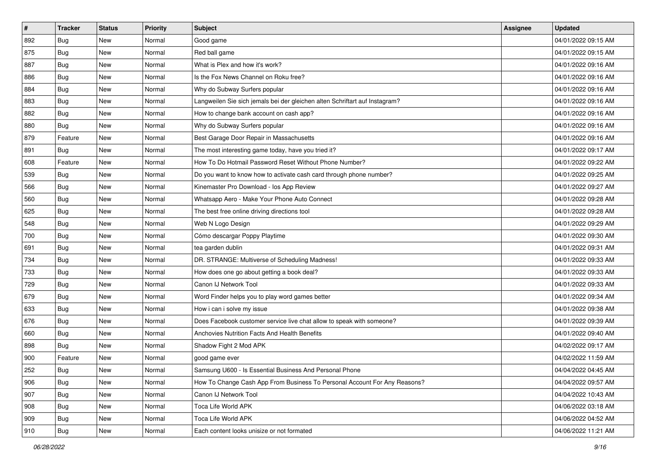| $\sharp$ | <b>Tracker</b> | <b>Status</b> | <b>Priority</b> | <b>Subject</b>                                                              | <b>Assignee</b> | <b>Updated</b>      |
|----------|----------------|---------------|-----------------|-----------------------------------------------------------------------------|-----------------|---------------------|
| 892      | <b>Bug</b>     | New           | Normal          | Good game                                                                   |                 | 04/01/2022 09:15 AM |
| 875      | <b>Bug</b>     | <b>New</b>    | Normal          | Red ball game                                                               |                 | 04/01/2022 09:15 AM |
| 887      | <b>Bug</b>     | New           | Normal          | What is Plex and how it's work?                                             |                 | 04/01/2022 09:16 AM |
| 886      | Bug            | New           | Normal          | Is the Fox News Channel on Roku free?                                       |                 | 04/01/2022 09:16 AM |
| 884      | <b>Bug</b>     | New           | Normal          | Why do Subway Surfers popular                                               |                 | 04/01/2022 09:16 AM |
| 883      | Bug            | New           | Normal          | Langweilen Sie sich jemals bei der gleichen alten Schriftart auf Instagram? |                 | 04/01/2022 09:16 AM |
| 882      | <b>Bug</b>     | New           | Normal          | How to change bank account on cash app?                                     |                 | 04/01/2022 09:16 AM |
| 880      | Bug            | New           | Normal          | Why do Subway Surfers popular                                               |                 | 04/01/2022 09:16 AM |
| 879      | Feature        | New           | Normal          | Best Garage Door Repair in Massachusetts                                    |                 | 04/01/2022 09:16 AM |
| 891      | <b>Bug</b>     | <b>New</b>    | Normal          | The most interesting game today, have you tried it?                         |                 | 04/01/2022 09:17 AM |
| 608      | Feature        | New           | Normal          | How To Do Hotmail Password Reset Without Phone Number?                      |                 | 04/01/2022 09:22 AM |
| 539      | <b>Bug</b>     | New           | Normal          | Do you want to know how to activate cash card through phone number?         |                 | 04/01/2022 09:25 AM |
| 566      | Bug            | New           | Normal          | Kinemaster Pro Download - los App Review                                    |                 | 04/01/2022 09:27 AM |
| 560      | <b>Bug</b>     | New           | Normal          | Whatsapp Aero - Make Your Phone Auto Connect                                |                 | 04/01/2022 09:28 AM |
| 625      | Bug            | New           | Normal          | The best free online driving directions tool                                |                 | 04/01/2022 09:28 AM |
| 548      | <b>Bug</b>     | New           | Normal          | Web N Logo Design                                                           |                 | 04/01/2022 09:29 AM |
| 700      | Bug            | New           | Normal          | Cómo descargar Poppy Playtime                                               |                 | 04/01/2022 09:30 AM |
| 691      | <b>Bug</b>     | New           | Normal          | tea garden dublin                                                           |                 | 04/01/2022 09:31 AM |
| 734      | <b>Bug</b>     | New           | Normal          | DR. STRANGE: Multiverse of Scheduling Madness!                              |                 | 04/01/2022 09:33 AM |
| 733      | Bug            | <b>New</b>    | Normal          | How does one go about getting a book deal?                                  |                 | 04/01/2022 09:33 AM |
| 729      | Bug            | New           | Normal          | Canon IJ Network Tool                                                       |                 | 04/01/2022 09:33 AM |
| 679      | Bug            | New           | Normal          | Word Finder helps you to play word games better                             |                 | 04/01/2022 09:34 AM |
| 633      | <b>Bug</b>     | New           | Normal          | How i can i solve my issue                                                  |                 | 04/01/2022 09:38 AM |
| 676      | Bug            | New           | Normal          | Does Facebook customer service live chat allow to speak with someone?       |                 | 04/01/2022 09:39 AM |
| 660      | <b>Bug</b>     | New           | Normal          | Anchovies Nutrition Facts And Health Benefits                               |                 | 04/01/2022 09:40 AM |
| 898      | Bug            | New           | Normal          | Shadow Fight 2 Mod APK                                                      |                 | 04/02/2022 09:17 AM |
| 900      | Feature        | New           | Normal          | good game ever                                                              |                 | 04/02/2022 11:59 AM |
| 252      | <b>Bug</b>     | New           | Normal          | Samsung U600 - Is Essential Business And Personal Phone                     |                 | 04/04/2022 04:45 AM |
| 906      | Bug            | New           | Normal          | How To Change Cash App From Business To Personal Account For Any Reasons?   |                 | 04/04/2022 09:57 AM |
| 907      | Bug            | New           | Normal          | Canon IJ Network Tool                                                       |                 | 04/04/2022 10:43 AM |
| 908      | <b>Bug</b>     | New           | Normal          | Toca Life World APK                                                         |                 | 04/06/2022 03:18 AM |
| 909      | Bug            | New           | Normal          | Toca Life World APK                                                         |                 | 04/06/2022 04:52 AM |
| 910      | <b>Bug</b>     | New           | Normal          | Each content looks unisize or not formated                                  |                 | 04/06/2022 11:21 AM |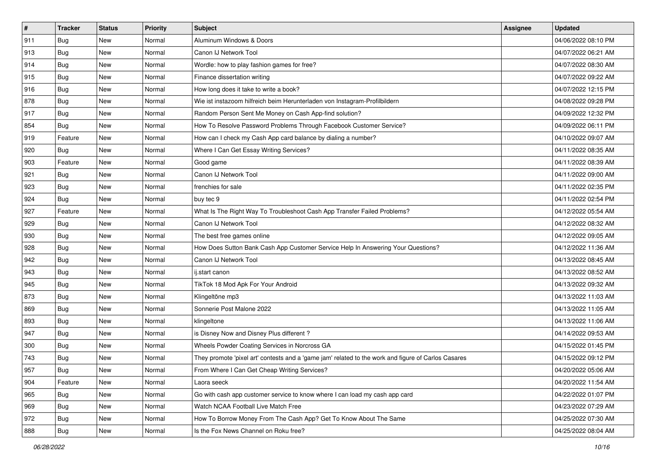| #   | <b>Tracker</b> | <b>Status</b> | Priority | Subject                                                                                             | <b>Assignee</b> | <b>Updated</b>      |
|-----|----------------|---------------|----------|-----------------------------------------------------------------------------------------------------|-----------------|---------------------|
| 911 | Bug            | New           | Normal   | Aluminum Windows & Doors                                                                            |                 | 04/06/2022 08:10 PM |
| 913 | Bug            | New           | Normal   | Canon IJ Network Tool                                                                               |                 | 04/07/2022 06:21 AM |
| 914 | Bug            | New           | Normal   | Wordle: how to play fashion games for free?                                                         |                 | 04/07/2022 08:30 AM |
| 915 | Bug            | New           | Normal   | Finance dissertation writing                                                                        |                 | 04/07/2022 09:22 AM |
| 916 | <b>Bug</b>     | <b>New</b>    | Normal   | How long does it take to write a book?                                                              |                 | 04/07/2022 12:15 PM |
| 878 | Bug            | New           | Normal   | Wie ist instazoom hilfreich beim Herunterladen von Instagram-Profilbildern                          |                 | 04/08/2022 09:28 PM |
| 917 | Bug            | New           | Normal   | Random Person Sent Me Money on Cash App-find solution?                                              |                 | 04/09/2022 12:32 PM |
| 854 | <b>Bug</b>     | New           | Normal   | How To Resolve Password Problems Through Facebook Customer Service?                                 |                 | 04/09/2022 06:11 PM |
| 919 | Feature        | New           | Normal   | How can I check my Cash App card balance by dialing a number?                                       |                 | 04/10/2022 09:07 AM |
| 920 | <b>Bug</b>     | New           | Normal   | Where I Can Get Essay Writing Services?                                                             |                 | 04/11/2022 08:35 AM |
| 903 | Feature        | New           | Normal   | Good game                                                                                           |                 | 04/11/2022 08:39 AM |
| 921 | Bug            | New           | Normal   | Canon IJ Network Tool                                                                               |                 | 04/11/2022 09:00 AM |
| 923 | Bug            | New           | Normal   | frenchies for sale                                                                                  |                 | 04/11/2022 02:35 PM |
| 924 | <b>Bug</b>     | New           | Normal   | buy tec 9                                                                                           |                 | 04/11/2022 02:54 PM |
| 927 | Feature        | <b>New</b>    | Normal   | What Is The Right Way To Troubleshoot Cash App Transfer Failed Problems?                            |                 | 04/12/2022 05:54 AM |
| 929 | Bug            | New           | Normal   | Canon IJ Network Tool                                                                               |                 | 04/12/2022 08:32 AM |
| 930 | Bug            | New           | Normal   | The best free games online                                                                          |                 | 04/12/2022 09:05 AM |
| 928 | <b>Bug</b>     | New           | Normal   | How Does Sutton Bank Cash App Customer Service Help In Answering Your Questions?                    |                 | 04/12/2022 11:36 AM |
| 942 | Bug            | New           | Normal   | Canon IJ Network Tool                                                                               |                 | 04/13/2022 08:45 AM |
| 943 | Bug            | New           | Normal   | ij.start canon                                                                                      |                 | 04/13/2022 08:52 AM |
| 945 | Bug            | New           | Normal   | TikTok 18 Mod Apk For Your Android                                                                  |                 | 04/13/2022 09:32 AM |
| 873 | Bug            | New           | Normal   | Klingeltöne mp3                                                                                     |                 | 04/13/2022 11:03 AM |
| 869 | <b>Bug</b>     | <b>New</b>    | Normal   | Sonnerie Post Malone 2022                                                                           |                 | 04/13/2022 11:05 AM |
| 893 | <b>Bug</b>     | New           | Normal   | klingeltone                                                                                         |                 | 04/13/2022 11:06 AM |
| 947 | Bug            | New           | Normal   | is Disney Now and Disney Plus different?                                                            |                 | 04/14/2022 09:53 AM |
| 300 | Bug            | <b>New</b>    | Normal   | Wheels Powder Coating Services in Norcross GA                                                       |                 | 04/15/2022 01:45 PM |
| 743 | Bug            | <b>New</b>    | Normal   | They promote 'pixel art' contests and a 'game jam' related to the work and figure of Carlos Casares |                 | 04/15/2022 09:12 PM |
| 957 | <b>Bug</b>     | New           | Normal   | From Where I Can Get Cheap Writing Services?                                                        |                 | 04/20/2022 05:06 AM |
| 904 | Feature        | New           | Normal   | Laora seeck                                                                                         |                 | 04/20/2022 11:54 AM |
| 965 | <b>Bug</b>     | New           | Normal   | Go with cash app customer service to know where I can load my cash app card                         |                 | 04/22/2022 01:07 PM |
| 969 | <b>Bug</b>     | New           | Normal   | Watch NCAA Football Live Match Free                                                                 |                 | 04/23/2022 07:29 AM |
| 972 | Bug            | New           | Normal   | How To Borrow Money From The Cash App? Get To Know About The Same                                   |                 | 04/25/2022 07:30 AM |
| 888 | <b>Bug</b>     | New           | Normal   | Is the Fox News Channel on Roku free?                                                               |                 | 04/25/2022 08:04 AM |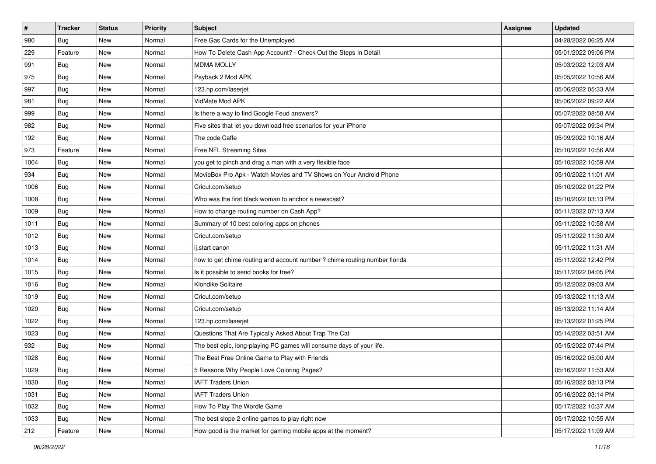| $\sharp$ | <b>Tracker</b> | <b>Status</b> | <b>Priority</b> | Subject                                                                    | Assignee | <b>Updated</b>      |
|----------|----------------|---------------|-----------------|----------------------------------------------------------------------------|----------|---------------------|
| 980      | Bug            | New           | Normal          | Free Gas Cards for the Unemployed                                          |          | 04/28/2022 06:25 AM |
| 229      | Feature        | New           | Normal          | How To Delete Cash App Account? - Check Out the Steps In Detail            |          | 05/01/2022 09:06 PM |
| 991      | <b>Bug</b>     | New           | Normal          | <b>MDMA MOLLY</b>                                                          |          | 05/03/2022 12:03 AM |
| 975      | Bug            | New           | Normal          | Payback 2 Mod APK                                                          |          | 05/05/2022 10:56 AM |
| 997      | <b>Bug</b>     | New           | Normal          | 123.hp.com/laserjet                                                        |          | 05/06/2022 05:33 AM |
| 981      | <b>Bug</b>     | New           | Normal          | VidMate Mod APK                                                            |          | 05/06/2022 09:22 AM |
| 999      | Bug            | New           | Normal          | Is there a way to find Google Feud answers?                                |          | 05/07/2022 08:58 AM |
| 982      | <b>Bug</b>     | New           | Normal          | Five sites that let you download free scenarios for your iPhone            |          | 05/07/2022 09:34 PM |
| 192      | <b>Bug</b>     | New           | Normal          | The code Caffe                                                             |          | 05/09/2022 10:16 AM |
| 973      | Feature        | New           | Normal          | Free NFL Streaming Sites                                                   |          | 05/10/2022 10:56 AM |
| 1004     | Bug            | New           | Normal          | you get to pinch and drag a man with a very flexible face                  |          | 05/10/2022 10:59 AM |
| 934      | Bug            | New           | Normal          | MovieBox Pro Apk - Watch Movies and TV Shows on Your Android Phone         |          | 05/10/2022 11:01 AM |
| 1006     | <b>Bug</b>     | New           | Normal          | Cricut.com/setup                                                           |          | 05/10/2022 01:22 PM |
| 1008     | <b>Bug</b>     | New           | Normal          | Who was the first black woman to anchor a newscast?                        |          | 05/10/2022 03:13 PM |
| 1009     | <b>Bug</b>     | New           | Normal          | How to change routing number on Cash App?                                  |          | 05/11/2022 07:13 AM |
| 1011     | <b>Bug</b>     | New           | Normal          | Summary of 10 best coloring apps on phones                                 |          | 05/11/2022 10:58 AM |
| 1012     | <b>Bug</b>     | New           | Normal          | Cricut.com/setup                                                           |          | 05/11/2022 11:30 AM |
| 1013     | Bug            | New           | Normal          | ij.start canon                                                             |          | 05/11/2022 11:31 AM |
| 1014     | Bug            | New           | Normal          | how to get chime routing and account number ? chime routing number florida |          | 05/11/2022 12:42 PM |
| 1015     | <b>Bug</b>     | New           | Normal          | Is it possible to send books for free?                                     |          | 05/11/2022 04:05 PM |
| 1016     | Bug            | New           | Normal          | Klondike Solitaire                                                         |          | 05/12/2022 09:03 AM |
| 1019     | <b>Bug</b>     | New           | Normal          | Cricut.com/setup                                                           |          | 05/13/2022 11:13 AM |
| 1020     | Bug            | <b>New</b>    | Normal          | Cricut.com/setup                                                           |          | 05/13/2022 11:14 AM |
| 1022     | <b>Bug</b>     | New           | Normal          | 123.hp.com/laserjet                                                        |          | 05/13/2022 01:25 PM |
| 1023     | <b>Bug</b>     | New           | Normal          | Questions That Are Typically Asked About Trap The Cat                      |          | 05/14/2022 03:51 AM |
| 932      | <b>Bug</b>     | New           | Normal          | The best epic, long-playing PC games will consume days of your life.       |          | 05/15/2022 07:44 PM |
| 1028     | <b>Bug</b>     | New           | Normal          | The Best Free Online Game to Play with Friends                             |          | 05/16/2022 05:00 AM |
| 1029     | <b>Bug</b>     | New           | Normal          | 5 Reasons Why People Love Coloring Pages?                                  |          | 05/16/2022 11:53 AM |
| 1030     | Bug            | New           | Normal          | <b>IAFT Traders Union</b>                                                  |          | 05/16/2022 03:13 PM |
| 1031     | Bug            | New           | Normal          | <b>IAFT Traders Union</b>                                                  |          | 05/16/2022 03:14 PM |
| 1032     | Bug            | New           | Normal          | How To Play The Wordle Game                                                |          | 05/17/2022 10:37 AM |
| 1033     | Bug            | New           | Normal          | The best slope 2 online games to play right now                            |          | 05/17/2022 10:55 AM |
| 212      | Feature        | New           | Normal          | How good is the market for gaming mobile apps at the moment?               |          | 05/17/2022 11:09 AM |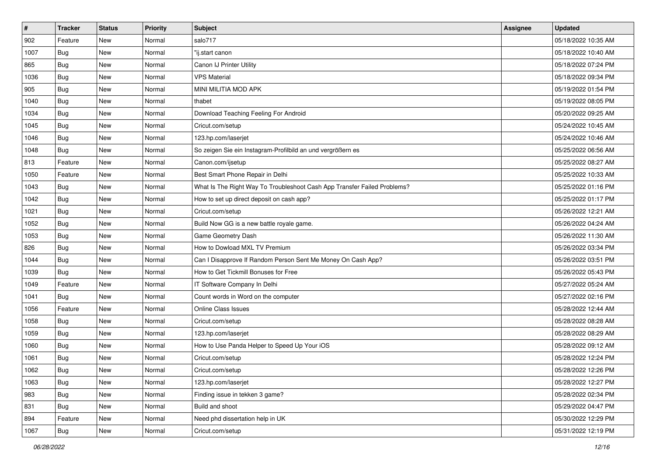| $\#$ | <b>Tracker</b> | <b>Status</b> | <b>Priority</b> | Subject                                                                  | <b>Assignee</b> | <b>Updated</b>      |
|------|----------------|---------------|-----------------|--------------------------------------------------------------------------|-----------------|---------------------|
| 902  | Feature        | New           | Normal          | salo717                                                                  |                 | 05/18/2022 10:35 AM |
| 1007 | <b>Bug</b>     | New           | Normal          | "ij.start canon                                                          |                 | 05/18/2022 10:40 AM |
| 865  | Bug            | New           | Normal          | Canon IJ Printer Utility                                                 |                 | 05/18/2022 07:24 PM |
| 1036 | <b>Bug</b>     | New           | Normal          | <b>VPS Material</b>                                                      |                 | 05/18/2022 09:34 PM |
| 905  | Bug            | <b>New</b>    | Normal          | MINI MILITIA MOD APK                                                     |                 | 05/19/2022 01:54 PM |
| 1040 | <b>Bug</b>     | New           | Normal          | thabet                                                                   |                 | 05/19/2022 08:05 PM |
| 1034 | <b>Bug</b>     | <b>New</b>    | Normal          | Download Teaching Feeling For Android                                    |                 | 05/20/2022 09:25 AM |
| 1045 | Bug            | New           | Normal          | Cricut.com/setup                                                         |                 | 05/24/2022 10:45 AM |
| 1046 | <b>Bug</b>     | New           | Normal          | 123.hp.com/laserjet                                                      |                 | 05/24/2022 10:46 AM |
| 1048 | Bug            | <b>New</b>    | Normal          | So zeigen Sie ein Instagram-Profilbild an und vergrößern es              |                 | 05/25/2022 06:56 AM |
| 813  | Feature        | <b>New</b>    | Normal          | Canon.com/ijsetup                                                        |                 | 05/25/2022 08:27 AM |
| 1050 | Feature        | New           | Normal          | Best Smart Phone Repair in Delhi                                         |                 | 05/25/2022 10:33 AM |
| 1043 | Bug            | New           | Normal          | What Is The Right Way To Troubleshoot Cash App Transfer Failed Problems? |                 | 05/25/2022 01:16 PM |
| 1042 | <b>Bug</b>     | <b>New</b>    | Normal          | How to set up direct deposit on cash app?                                |                 | 05/25/2022 01:17 PM |
| 1021 | <b>Bug</b>     | New           | Normal          | Cricut.com/setup                                                         |                 | 05/26/2022 12:21 AM |
| 1052 | Bug            | New           | Normal          | Build Now GG is a new battle royale game.                                |                 | 05/26/2022 04:24 AM |
| 1053 | <b>Bug</b>     | New           | Normal          | Game Geometry Dash                                                       |                 | 05/26/2022 11:30 AM |
| 826  | <b>Bug</b>     | New           | Normal          | How to Dowload MXL TV Premium                                            |                 | 05/26/2022 03:34 PM |
| 1044 | <b>Bug</b>     | New           | Normal          | Can I Disapprove If Random Person Sent Me Money On Cash App?             |                 | 05/26/2022 03:51 PM |
| 1039 | <b>Bug</b>     | New           | Normal          | How to Get Tickmill Bonuses for Free                                     |                 | 05/26/2022 05:43 PM |
| 1049 | Feature        | New           | Normal          | IT Software Company In Delhi                                             |                 | 05/27/2022 05:24 AM |
| 1041 | Bug            | New           | Normal          | Count words in Word on the computer                                      |                 | 05/27/2022 02:16 PM |
| 1056 | Feature        | <b>New</b>    | Normal          | <b>Online Class Issues</b>                                               |                 | 05/28/2022 12:44 AM |
| 1058 | <b>Bug</b>     | New           | Normal          | Cricut.com/setup                                                         |                 | 05/28/2022 08:28 AM |
| 1059 | <b>Bug</b>     | New           | Normal          | 123.hp.com/laserjet                                                      |                 | 05/28/2022 08:29 AM |
| 1060 | <b>Bug</b>     | New           | Normal          | How to Use Panda Helper to Speed Up Your iOS                             |                 | 05/28/2022 09:12 AM |
| 1061 | <b>Bug</b>     | <b>New</b>    | Normal          | Cricut.com/setup                                                         |                 | 05/28/2022 12:24 PM |
| 1062 | <b>Bug</b>     | New           | Normal          | Cricut.com/setup                                                         |                 | 05/28/2022 12:26 PM |
| 1063 | Bug            | New           | Normal          | 123.hp.com/laserjet                                                      |                 | 05/28/2022 12:27 PM |
| 983  | Bug            | New           | Normal          | Finding issue in tekken 3 game?                                          |                 | 05/28/2022 02:34 PM |
| 831  | Bug            | New           | Normal          | Build and shoot                                                          |                 | 05/29/2022 04:47 PM |
| 894  | Feature        | New           | Normal          | Need phd dissertation help in UK                                         |                 | 05/30/2022 12:29 PM |
| 1067 | <b>Bug</b>     | New           | Normal          | Cricut.com/setup                                                         |                 | 05/31/2022 12:19 PM |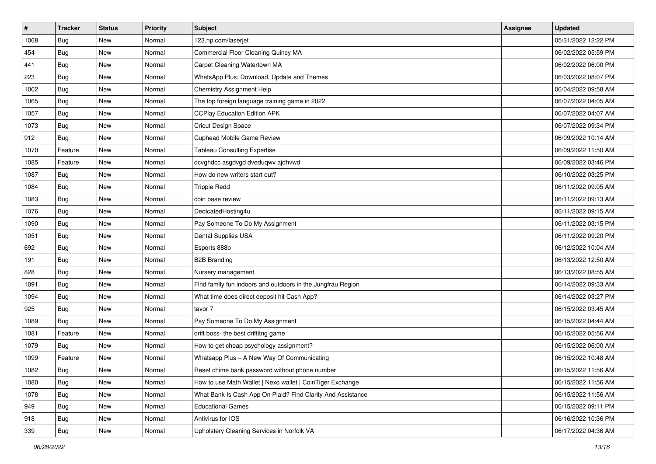| $\vert$ # | <b>Tracker</b> | <b>Status</b> | <b>Priority</b> | <b>Subject</b>                                              | <b>Assignee</b> | <b>Updated</b>      |
|-----------|----------------|---------------|-----------------|-------------------------------------------------------------|-----------------|---------------------|
| 1068      | <b>Bug</b>     | New           | Normal          | 123.hp.com/laserjet                                         |                 | 05/31/2022 12:22 PM |
| 454       | Bug            | New           | Normal          | Commercial Floor Cleaning Quincy MA                         |                 | 06/02/2022 05:59 PM |
| 441       | Bug            | New           | Normal          | Carpet Cleaning Watertown MA                                |                 | 06/02/2022 06:00 PM |
| 223       | <b>Bug</b>     | New           | Normal          | WhatsApp Plus: Download, Update and Themes                  |                 | 06/03/2022 08:07 PM |
| 1002      | <b>Bug</b>     | New           | Normal          | <b>Chemistry Assignment Help</b>                            |                 | 06/04/2022 09:58 AM |
| 1065      | <b>Bug</b>     | New           | Normal          | The top foreign language training game in 2022              |                 | 06/07/2022 04:05 AM |
| 1057      | <b>Bug</b>     | New           | Normal          | <b>CCPlay Education Edition APK</b>                         |                 | 06/07/2022 04:07 AM |
| 1073      | <b>Bug</b>     | New           | Normal          | Cricut Design Space                                         |                 | 06/07/2022 09:34 PM |
| 912       | <b>Bug</b>     | New           | Normal          | Cuphead Mobile Game Review                                  |                 | 06/09/2022 10:14 AM |
| 1070      | Feature        | New           | Normal          | <b>Tableau Consulting Expertise</b>                         |                 | 06/09/2022 11:50 AM |
| 1085      | Feature        | New           | Normal          | dcvghdcc asgdvgd dveduqwv ajdhvwd                           |                 | 06/09/2022 03:46 PM |
| 1087      | <b>Bug</b>     | New           | Normal          | How do new writers start out?                               |                 | 06/10/2022 03:25 PM |
| 1084      | <b>Bug</b>     | New           | Normal          | <b>Trippie Redd</b>                                         |                 | 06/11/2022 09:05 AM |
| 1083      | <b>Bug</b>     | New           | Normal          | coin base review                                            |                 | 06/11/2022 09:13 AM |
| 1076      | Bug            | New           | Normal          | DedicatedHosting4u                                          |                 | 06/11/2022 09:15 AM |
| 1090      | <b>Bug</b>     | New           | Normal          | Pay Someone To Do My Assignment                             |                 | 06/11/2022 03:15 PM |
| 1051      | <b>Bug</b>     | New           | Normal          | Dental Supplies USA                                         |                 | 06/11/2022 09:20 PM |
| 692       | <b>Bug</b>     | New           | Normal          | Esports 888b                                                |                 | 06/12/2022 10:04 AM |
| 191       | Bug            | New           | Normal          | <b>B2B Branding</b>                                         |                 | 06/13/2022 12:50 AM |
| 828       | Bug            | New           | Normal          | Nursery management                                          |                 | 06/13/2022 08:55 AM |
| 1091      | <b>Bug</b>     | New           | Normal          | Find family fun indoors and outdoors in the Jungfrau Region |                 | 06/14/2022 09:33 AM |
| 1094      | <b>Bug</b>     | New           | Normal          | What time does direct deposit hit Cash App?                 |                 | 06/14/2022 03:27 PM |
| 925       | Bug            | New           | Normal          | tavor 7                                                     |                 | 06/15/2022 03:45 AM |
| 1089      | <b>Bug</b>     | New           | Normal          | Pay Someone To Do My Assignment                             |                 | 06/15/2022 04:44 AM |
| 1081      | Feature        | New           | Normal          | drift boss- the best driftitng game                         |                 | 06/15/2022 05:56 AM |
| 1079      | Bug            | New           | Normal          | How to get cheap psychology assignment?                     |                 | 06/15/2022 06:00 AM |
| 1099      | Feature        | <b>New</b>    | Normal          | Whatsapp Plus - A New Way Of Communicating                  |                 | 06/15/2022 10:48 AM |
| 1082      | <b>Bug</b>     | New           | Normal          | Reset chime bank password without phone number              |                 | 06/15/2022 11:56 AM |
| 1080      | <b>Bug</b>     | New           | Normal          | How to use Math Wallet   Nexo wallet   CoinTiger Exchange   |                 | 06/15/2022 11:56 AM |
| 1078      | <b>Bug</b>     | New           | Normal          | What Bank Is Cash App On Plaid? Find Clarity And Assistance |                 | 06/15/2022 11:56 AM |
| 949       | <b>Bug</b>     | New           | Normal          | <b>Educational Games</b>                                    |                 | 06/15/2022 09:11 PM |
| 918       | Bug            | New           | Normal          | Antivirus for IOS                                           |                 | 06/16/2022 10:36 PM |
| 339       | <b>Bug</b>     | New           | Normal          | Upholstery Cleaning Services in Norfolk VA                  |                 | 06/17/2022 04:36 AM |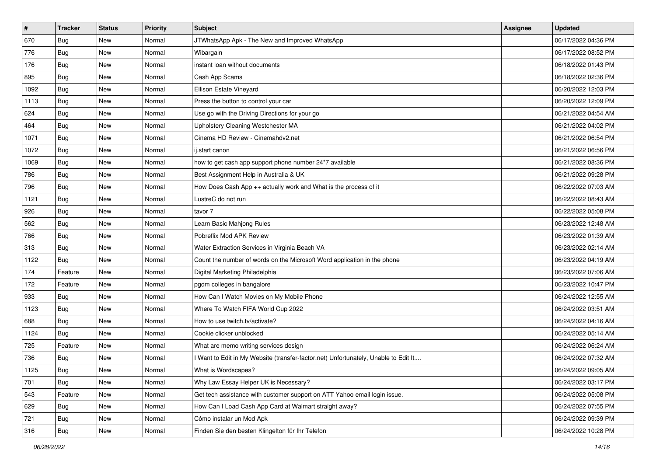| #    | <b>Tracker</b> | <b>Status</b> | Priority | <b>Subject</b>                                                                      | <b>Assignee</b> | <b>Updated</b>      |
|------|----------------|---------------|----------|-------------------------------------------------------------------------------------|-----------------|---------------------|
| 670  | Bug            | New           | Normal   | JTWhatsApp Apk - The New and Improved WhatsApp                                      |                 | 06/17/2022 04:36 PM |
| 776  | Bug            | New           | Normal   | Wibargain                                                                           |                 | 06/17/2022 08:52 PM |
| 176  | Bug            | New           | Normal   | instant loan without documents                                                      |                 | 06/18/2022 01:43 PM |
| 895  | Bug            | New           | Normal   | Cash App Scams                                                                      |                 | 06/18/2022 02:36 PM |
| 1092 | Bug            | New           | Normal   | Ellison Estate Vineyard                                                             |                 | 06/20/2022 12:03 PM |
| 1113 | Bug            | New           | Normal   | Press the button to control your car                                                |                 | 06/20/2022 12:09 PM |
| 624  | Bug            | New           | Normal   | Use go with the Driving Directions for your go                                      |                 | 06/21/2022 04:54 AM |
| 464  | Bug            | New           | Normal   | Upholstery Cleaning Westchester MA                                                  |                 | 06/21/2022 04:02 PM |
| 1071 | Bug            | New           | Normal   | Cinema HD Review - Cinemahdv2.net                                                   |                 | 06/21/2022 06:54 PM |
| 1072 | Bug            | New           | Normal   | ij.start canon                                                                      |                 | 06/21/2022 06:56 PM |
| 1069 | <b>Bug</b>     | New           | Normal   | how to get cash app support phone number 24*7 available                             |                 | 06/21/2022 08:36 PM |
| 786  | Bug            | New           | Normal   | Best Assignment Help in Australia & UK                                              |                 | 06/21/2022 09:28 PM |
| 796  | Bug            | New           | Normal   | How Does Cash App ++ actually work and What is the process of it                    |                 | 06/22/2022 07:03 AM |
| 1121 | Bug            | New           | Normal   | LustreC do not run                                                                  |                 | 06/22/2022 08:43 AM |
| 926  | Bug            | New           | Normal   | tavor 7                                                                             |                 | 06/22/2022 05:08 PM |
| 562  | Bug            | New           | Normal   | Learn Basic Mahjong Rules                                                           |                 | 06/23/2022 12:48 AM |
| 766  | Bug            | New           | Normal   | Pobreflix Mod APK Review                                                            |                 | 06/23/2022 01:39 AM |
| 313  | Bug            | New           | Normal   | Water Extraction Services in Virginia Beach VA                                      |                 | 06/23/2022 02:14 AM |
| 1122 | Bug            | New           | Normal   | Count the number of words on the Microsoft Word application in the phone            |                 | 06/23/2022 04:19 AM |
| 174  | Feature        | New           | Normal   | Digital Marketing Philadelphia                                                      |                 | 06/23/2022 07:06 AM |
| 172  | Feature        | New           | Normal   | pgdm colleges in bangalore                                                          |                 | 06/23/2022 10:47 PM |
| 933  | Bug            | New           | Normal   | How Can I Watch Movies on My Mobile Phone                                           |                 | 06/24/2022 12:55 AM |
| 1123 | Bug            | New           | Normal   | Where To Watch FIFA World Cup 2022                                                  |                 | 06/24/2022 03:51 AM |
| 688  | <b>Bug</b>     | New           | Normal   | How to use twitch.tv/activate?                                                      |                 | 06/24/2022 04:16 AM |
| 1124 | <b>Bug</b>     | New           | Normal   | Cookie clicker unblocked                                                            |                 | 06/24/2022 05:14 AM |
| 725  | Feature        | New           | Normal   | What are memo writing services design                                               |                 | 06/24/2022 06:24 AM |
| 736  | Bug            | New           | Normal   | I Want to Edit in My Website (transfer-factor.net) Unfortunately, Unable to Edit It |                 | 06/24/2022 07:32 AM |
| 1125 | <b>Bug</b>     | New           | Normal   | What is Wordscapes?                                                                 |                 | 06/24/2022 09:05 AM |
| 701  | <b>Bug</b>     | New           | Normal   | Why Law Essay Helper UK is Necessary?                                               |                 | 06/24/2022 03:17 PM |
| 543  | Feature        | New           | Normal   | Get tech assistance with customer support on ATT Yahoo email login issue.           |                 | 06/24/2022 05:08 PM |
| 629  | Bug            | New           | Normal   | How Can I Load Cash App Card at Walmart straight away?                              |                 | 06/24/2022 07:55 PM |
| 721  | <b>Bug</b>     | New           | Normal   | Cómo instalar un Mod Apk                                                            |                 | 06/24/2022 09:39 PM |
| 316  | <b>Bug</b>     | New           | Normal   | Finden Sie den besten Klingelton für Ihr Telefon                                    |                 | 06/24/2022 10:28 PM |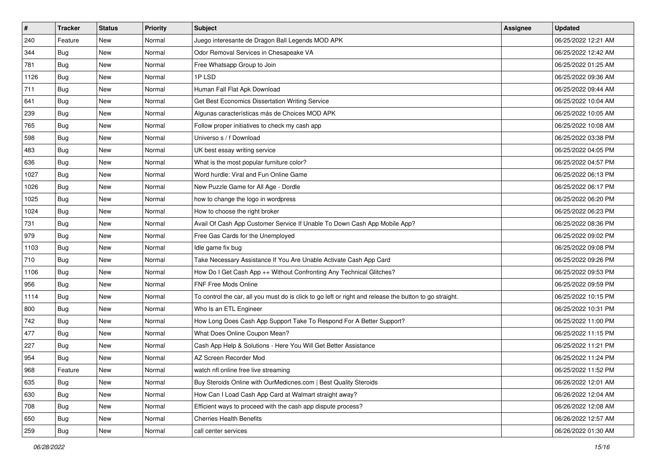| $\pmb{\#}$ | <b>Tracker</b> | <b>Status</b> | <b>Priority</b> | <b>Subject</b>                                                                                          | <b>Assignee</b> | <b>Updated</b>      |
|------------|----------------|---------------|-----------------|---------------------------------------------------------------------------------------------------------|-----------------|---------------------|
| 240        | Feature        | New           | Normal          | Juego interesante de Dragon Ball Legends MOD APK                                                        |                 | 06/25/2022 12:21 AM |
| 344        | <b>Bug</b>     | <b>New</b>    | Normal          | Odor Removal Services in Chesapeake VA                                                                  |                 | 06/25/2022 12:42 AM |
| 781        | Bug            | <b>New</b>    | Normal          | Free Whatsapp Group to Join                                                                             |                 | 06/25/2022 01:25 AM |
| 1126       | Bug            | <b>New</b>    | Normal          | 1PLSD                                                                                                   |                 | 06/25/2022 09:36 AM |
| 711        | <b>Bug</b>     | <b>New</b>    | Normal          | Human Fall Flat Apk Download                                                                            |                 | 06/25/2022 09:44 AM |
| 641        | Bug            | <b>New</b>    | Normal          | Get Best Economics Dissertation Writing Service                                                         |                 | 06/25/2022 10:04 AM |
| 239        | Bug            | <b>New</b>    | Normal          | Algunas características más de Choices MOD APK                                                          |                 | 06/25/2022 10:05 AM |
| 765        | Bug            | <b>New</b>    | Normal          | Follow proper initiatives to check my cash app                                                          |                 | 06/25/2022 10:08 AM |
| 598        | Bug            | <b>New</b>    | Normal          | Universo s / f Download                                                                                 |                 | 06/25/2022 03:38 PM |
| 483        | Bug            | <b>New</b>    | Normal          | UK best essay writing service                                                                           |                 | 06/25/2022 04:05 PM |
| 636        | Bug            | <b>New</b>    | Normal          | What is the most popular furniture color?                                                               |                 | 06/25/2022 04:57 PM |
| 1027       | Bug            | <b>New</b>    | Normal          | Word hurdle: Viral and Fun Online Game                                                                  |                 | 06/25/2022 06:13 PM |
| 1026       | <b>Bug</b>     | <b>New</b>    | Normal          | New Puzzle Game for All Age - Dordle                                                                    |                 | 06/25/2022 06:17 PM |
| 1025       | Bug            | New           | Normal          | how to change the logo in wordpress                                                                     |                 | 06/25/2022 06:20 PM |
| 1024       | <b>Bug</b>     | <b>New</b>    | Normal          | How to choose the right broker                                                                          |                 | 06/25/2022 06:23 PM |
| 731        | <b>Bug</b>     | New           | Normal          | Avail Of Cash App Customer Service If Unable To Down Cash App Mobile App?                               |                 | 06/25/2022 08:36 PM |
| 979        | Bug            | <b>New</b>    | Normal          | Free Gas Cards for the Unemployed                                                                       |                 | 06/25/2022 09:02 PM |
| 1103       | <b>Bug</b>     | <b>New</b>    | Normal          | Idle game fix bug                                                                                       |                 | 06/25/2022 09:08 PM |
| 710        | Bug            | New           | Normal          | Take Necessary Assistance If You Are Unable Activate Cash App Card                                      |                 | 06/25/2022 09:26 PM |
| 1106       | Bug            | <b>New</b>    | Normal          | How Do I Get Cash App ++ Without Confronting Any Technical Glitches?                                    |                 | 06/25/2022 09:53 PM |
| 956        | Bug            | New           | Normal          | FNF Free Mods Online                                                                                    |                 | 06/25/2022 09:59 PM |
| 1114       | Bug            | <b>New</b>    | Normal          | To control the car, all you must do is click to go left or right and release the button to go straight. |                 | 06/25/2022 10:15 PM |
| 800        | Bug            | New           | Normal          | Who Is an ETL Engineer                                                                                  |                 | 06/25/2022 10:31 PM |
| 742        | <b>Bug</b>     | <b>New</b>    | Normal          | How Long Does Cash App Support Take To Respond For A Better Support?                                    |                 | 06/25/2022 11:00 PM |
| 477        | Bug            | New           | Normal          | What Does Online Coupon Mean?                                                                           |                 | 06/25/2022 11:15 PM |
| 227        | Bug            | New           | Normal          | Cash App Help & Solutions - Here You Will Get Better Assistance                                         |                 | 06/25/2022 11:21 PM |
| 954        | Bug            | New           | Normal          | AZ Screen Recorder Mod                                                                                  |                 | 06/25/2022 11:24 PM |
| 968        | Feature        | New           | Normal          | watch nfl online free live streaming                                                                    |                 | 06/25/2022 11:52 PM |
| 635        | Bug            | New           | Normal          | Buy Steroids Online with OurMedicnes.com   Best Quality Steroids                                        |                 | 06/26/2022 12:01 AM |
| 630        | Bug            | New           | Normal          | How Can I Load Cash App Card at Walmart straight away?                                                  |                 | 06/26/2022 12:04 AM |
| 708        | Bug            | New           | Normal          | Efficient ways to proceed with the cash app dispute process?                                            |                 | 06/26/2022 12:08 AM |
| 650        | Bug            | New           | Normal          | <b>Cherries Health Benefits</b>                                                                         |                 | 06/26/2022 12:57 AM |
| 259        | <b>Bug</b>     | New           | Normal          | call center services                                                                                    |                 | 06/26/2022 01:30 AM |